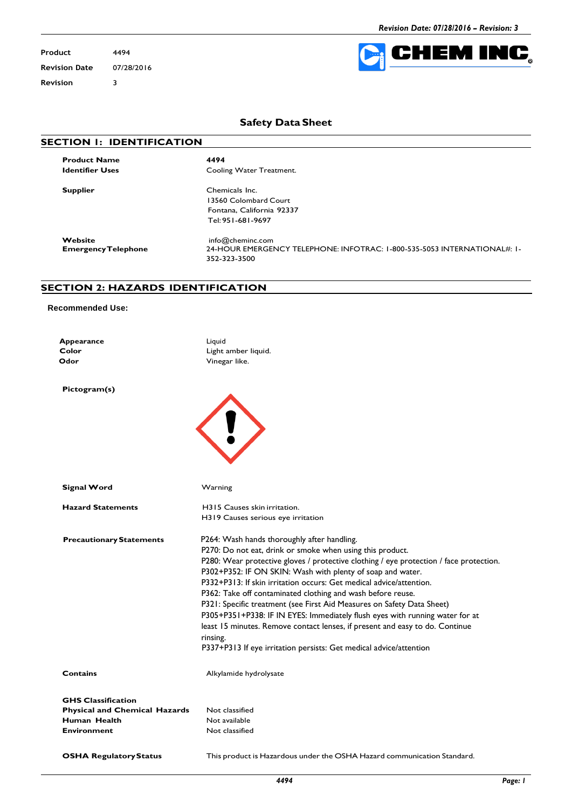**Product** 4494 **Revision Date** 07/28/2016 **Revision** 3



# **Safety Data Sheet**

|  | <b>SECTION I: IDENTIFICATION</b> |
|--|----------------------------------|
|  |                                  |

**Product Name 4494**

**Cooling Water Treatment.** 

**Supplier** Chemicals Inc. 13560 Colombard Court Fontana, California 92337 Tel:951-681-9697

**Website** [info@cheminc.com](mailto:info@cheminc.com)<br> **EmergencyTelephone** 24-HOUR EMERGEI

**EmergencyTelephone** 24-HOUR EMERGENCY TELEPHONE: INFOTRAC: 1-800-535-5053 INTERNATIONAL#: 1- 352-323-3500

#### **SECTION 2: HAZARDS IDENTIFICATION**

#### **Recommended Use:**

| Appearance |  |
|------------|--|
| Color      |  |
| Odor       |  |
|            |  |

Liquid **Color** Light amber liquid. **Vinegar like.** 

**Pictogram(s)**

| Q |  |
|---|--|
|   |  |

| Signal Word                                          | Warning                                                                                |
|------------------------------------------------------|----------------------------------------------------------------------------------------|
| <b>Hazard Statements</b>                             | H315 Causes skin irritation.                                                           |
|                                                      | H319 Causes serious eye irritation                                                     |
| <b>Precautionary Statements</b>                      | P264: Wash hands thoroughly after handling.                                            |
|                                                      | P270: Do not eat, drink or smoke when using this product.                              |
|                                                      | P280: Wear protective gloves / protective clothing / eye protection / face protection. |
|                                                      | P302+P352: IF ON SKIN: Wash with plenty of soap and water.                             |
|                                                      | P332+P313; If skin irritation occurs: Get medical advice/attention.                    |
|                                                      | P362: Take off contaminated clothing and wash before reuse.                            |
|                                                      | P321: Specific treatment (see First Aid Measures on Safety Data Sheet)                 |
|                                                      | P305+P351+P338: IF IN EYES: Immediately flush eyes with running water for at           |
|                                                      | least 15 minutes. Remove contact lenses, if present and easy to do. Continue           |
|                                                      | rinsing.                                                                               |
|                                                      | P337+P313 If eye irritation persists: Get medical advice/attention                     |
| Contains                                             | Alkylamide hydrolysate                                                                 |
|                                                      |                                                                                        |
| <b>GHS Classification</b>                            |                                                                                        |
| <b>Physical and Chemical Hazards</b><br>Human Health | Not classified<br>Not available                                                        |
| <b>Environment</b>                                   | Not classified                                                                         |
|                                                      |                                                                                        |
| <b>OSHA Regulatory Status</b>                        | This product is Hazardous under the OSHA Hazard communication Standard.                |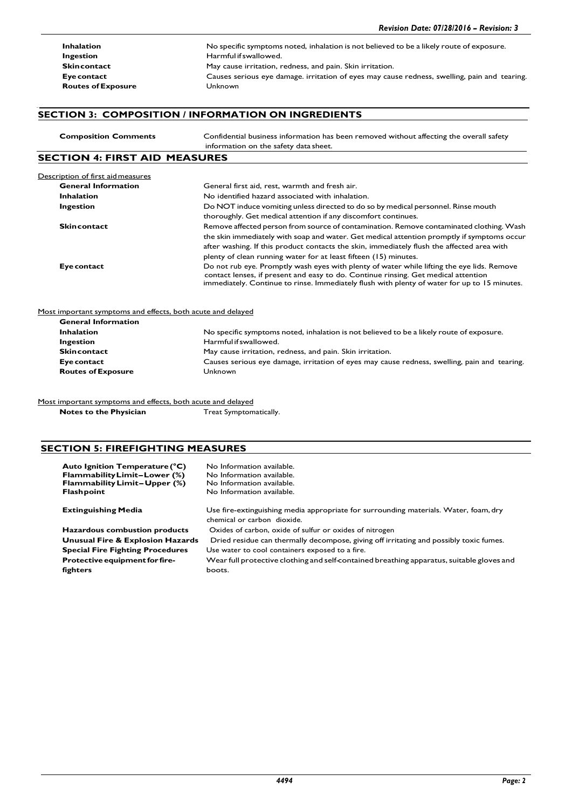**Routes of Exposure Unknown** 

**Inhalation** No specific symptoms noted, inhalation is not believed to be a likely route of exposure. **Ingestion**<br> **Ingestion**<br> **I** Harmful if swallowed.<br> **Skincontact**<br> **I** May cause irritation, r May cause irritation, redness, and pain. Skin irritation. **Eye contact** Causes serious eye damage. irritation of eyes may cause redness, swelling, pain and tearing.

#### **SECTION 3: COMPOSITION / INFORMATION ON INGREDIENTS**

| <b>Composition Comments</b>                                 | Confidential business information has been removed without affecting the overall safety                                                                                                                                                                                          |
|-------------------------------------------------------------|----------------------------------------------------------------------------------------------------------------------------------------------------------------------------------------------------------------------------------------------------------------------------------|
|                                                             | information on the safety data sheet.                                                                                                                                                                                                                                            |
| <b>SECTION 4: FIRST AID MEASURES</b>                        |                                                                                                                                                                                                                                                                                  |
| Description of first aid measures                           |                                                                                                                                                                                                                                                                                  |
| <b>General Information</b>                                  | General first aid, rest, warmth and fresh air.                                                                                                                                                                                                                                   |
| <b>Inhalation</b>                                           | No identified hazard associated with inhalation.                                                                                                                                                                                                                                 |
| Ingestion                                                   | Do NOT induce vomiting unless directed to do so by medical personnel. Rinse mouth                                                                                                                                                                                                |
|                                                             | thoroughly. Get medical attention if any discomfort continues.                                                                                                                                                                                                                   |
| <b>Skincontact</b>                                          | Remove affected person from source of contamination. Remove contaminated clothing. Wash                                                                                                                                                                                          |
|                                                             | the skin immediately with soap and water. Get medical attention promptly if symptoms occur                                                                                                                                                                                       |
|                                                             | after washing. If this product contacts the skin, immediately flush the affected area with                                                                                                                                                                                       |
|                                                             | plenty of clean running water for at least fifteen (15) minutes.                                                                                                                                                                                                                 |
| Eye contact                                                 | Do not rub eye. Promptly wash eyes with plenty of water while lifting the eye lids. Remove<br>contact lenses, if present and easy to do. Continue rinsing. Get medical attention<br>immediately. Continue to rinse. Immediately flush with plenty of water for up to 15 minutes. |
| Most important symptoms and effects, both acute and delayed |                                                                                                                                                                                                                                                                                  |
| <b>General Information</b>                                  |                                                                                                                                                                                                                                                                                  |
| <b>Inhalation</b>                                           | No specific symptoms noted, inhalation is not believed to be a likely route of exposure.                                                                                                                                                                                         |
| Ingestion                                                   | Harmful if swallowed.                                                                                                                                                                                                                                                            |

**Skincontact** May cause irritation, redness, and pain. Skin irritation.

**Eye contact** Causes serious eye damage, irritation of eyes may cause redness, swelling, pain and tearing. **Routes of Exposure** Unknown

Most important symptoms and effects, both acute and delayed

**Notes to the Physician** Treat Symptomatically.

## **SECTION 5: FIREFIGHTING MEASURES**

| Auto Ignition Temperature (°C)<br>Flammability Limit-Lower (%)<br><b>Flammability Limit-Upper (%)</b><br><b>Flashpoint</b> | No Information available.<br>No Information available.<br>No Information available.<br>No Information available.    |
|----------------------------------------------------------------------------------------------------------------------------|---------------------------------------------------------------------------------------------------------------------|
| <b>Extinguishing Media</b>                                                                                                 | Use fire-extinguishing media appropriate for surrounding materials. Water, foam, dry<br>chemical or carbon dioxide. |
| Hazardous combustion products                                                                                              | Oxides of carbon, oxide of sulfur or oxides of nitrogen                                                             |
| <b>Unusual Fire &amp; Explosion Hazards</b>                                                                                | Dried residue can thermally decompose, giving off irritating and possibly toxic fumes.                              |
| <b>Special Fire Fighting Procedures</b>                                                                                    | Use water to cool containers exposed to a fire.                                                                     |
| <b>Protective equipment for fire-</b>                                                                                      | Wear full protective clothing and self-contained breathing apparatus, suitable gloves and                           |
| fighters                                                                                                                   | boots.                                                                                                              |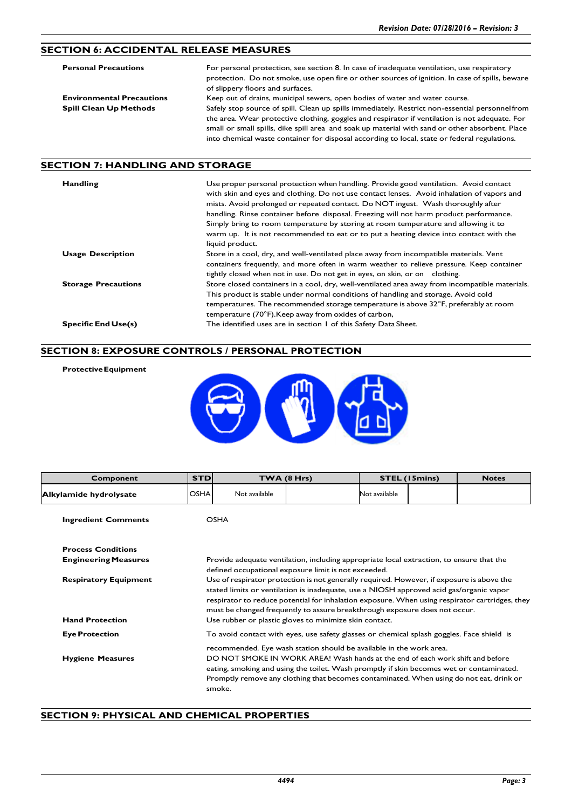# **SECTION 6: ACCIDENTAL RELEASE MEASURES**

| <b>Personal Precautions</b>      | For personal protection, see section 8. In case of inadequate ventilation, use respiratory<br>protection. Do not smoke, use open fire or other sources of ignition. In case of spills, beware<br>of slippery floors and surfaces. |
|----------------------------------|-----------------------------------------------------------------------------------------------------------------------------------------------------------------------------------------------------------------------------------|
| <b>Environmental Precautions</b> | Keep out of drains, municipal sewers, open bodies of water and water course.                                                                                                                                                      |
| <b>Spill Clean Up Methods</b>    | Safely stop source of spill. Clean up spills immediately. Restrict non-essential personnel from                                                                                                                                   |
|                                  | the area. Wear protective clothing, goggles and respirator if ventilation is not adequate. For                                                                                                                                    |
|                                  | small or small spills, dike spill area and soak up material with sand or other absorbent. Place                                                                                                                                   |
|                                  | into chemical waste container for disposal according to local, state or federal regulations.                                                                                                                                      |

## **SECTION 7: HANDLING AND STORAGE**

**ProtectiveEquipment**

| <b>Handling</b>            | Use proper personal protection when handling. Provide good ventilation. Avoid contact<br>with skin and eyes and clothing. Do not use contact lenses. Avoid inhalation of vapors and<br>mists. Avoid prolonged or repeated contact. Do NOT ingest. Wash thoroughly after<br>handling. Rinse container before disposal. Freezing will not harm product performance.<br>Simply bring to room temperature by storing at room temperature and allowing it to<br>warm up. It is not recommended to eat or to put a heating device into contact with the<br>liquid product. |
|----------------------------|----------------------------------------------------------------------------------------------------------------------------------------------------------------------------------------------------------------------------------------------------------------------------------------------------------------------------------------------------------------------------------------------------------------------------------------------------------------------------------------------------------------------------------------------------------------------|
| <b>Usage Description</b>   | Store in a cool, dry, and well-ventilated place away from incompatible materials. Vent<br>containers frequently, and more often in warm weather to relieve pressure. Keep container                                                                                                                                                                                                                                                                                                                                                                                  |
| <b>Storage Precautions</b> | tightly closed when not in use. Do not get in eyes, on skin, or on clothing.<br>Store closed containers in a cool, dry, well-ventilated area away from incompatible materials.<br>This product is stable under normal conditions of handling and storage. Avoid cold<br>temperatures. The recommended storage temperature is above 32°F, preferably at room<br>temperature (70°F). Keep away from oxides of carbon,                                                                                                                                                  |
| <b>Specific End Use(s)</b> | The identified uses are in section 1 of this Safety Data Sheet.                                                                                                                                                                                                                                                                                                                                                                                                                                                                                                      |

### **SECTION 8: EXPOSURE CONTROLS / PERSONAL PROTECTION**

| L |        |
|---|--------|
|   | п<br>ı |

| Component                    | <b>STD</b>                                                                                                                                                                                                                                                                                                                                                           |               | TWA (8 Hrs)                                                                                                                                                                                                                                                                                                                                  |               | <b>STEL (15mins)</b> | <b>Notes</b> |
|------------------------------|----------------------------------------------------------------------------------------------------------------------------------------------------------------------------------------------------------------------------------------------------------------------------------------------------------------------------------------------------------------------|---------------|----------------------------------------------------------------------------------------------------------------------------------------------------------------------------------------------------------------------------------------------------------------------------------------------------------------------------------------------|---------------|----------------------|--------------|
| Alkylamide hydrolysate       | <b>OSHA</b>                                                                                                                                                                                                                                                                                                                                                          | Not available |                                                                                                                                                                                                                                                                                                                                              | Not available |                      |              |
| <b>Ingredient Comments</b>   |                                                                                                                                                                                                                                                                                                                                                                      | <b>OSHA</b>   |                                                                                                                                                                                                                                                                                                                                              |               |                      |              |
| <b>Process Conditions</b>    |                                                                                                                                                                                                                                                                                                                                                                      |               |                                                                                                                                                                                                                                                                                                                                              |               |                      |              |
| <b>Engineering Measures</b>  |                                                                                                                                                                                                                                                                                                                                                                      |               | Provide adequate ventilation, including appropriate local extraction, to ensure that the<br>defined occupational exposure limit is not exceeded.                                                                                                                                                                                             |               |                      |              |
| <b>Respiratory Equipment</b> | Use of respirator protection is not generally required. However, if exposure is above the<br>stated limits or ventilation is inadequate, use a NIOSH approved acid gas/organic vapor<br>respirator to reduce potential for inhalation exposure. When using respirator cartridges, they<br>must be changed frequently to assure breakthrough exposure does not occur. |               |                                                                                                                                                                                                                                                                                                                                              |               |                      |              |
| <b>Hand Protection</b>       |                                                                                                                                                                                                                                                                                                                                                                      |               | Use rubber or plastic gloves to minimize skin contact.                                                                                                                                                                                                                                                                                       |               |                      |              |
| <b>Eye Protection</b>        |                                                                                                                                                                                                                                                                                                                                                                      |               | To avoid contact with eyes, use safety glasses or chemical splash goggles. Face shield is                                                                                                                                                                                                                                                    |               |                      |              |
| <b>Hygiene Measures</b>      |                                                                                                                                                                                                                                                                                                                                                                      | smoke.        | recommended. Eye wash station should be available in the work area.<br>DO NOT SMOKE IN WORK AREA! Wash hands at the end of each work shift and before<br>eating, smoking and using the toilet. Wash promptly if skin becomes wet or contaminated.<br>Promptly remove any clothing that becomes contaminated. When using do not eat, drink or |               |                      |              |

## **SECTION 9: PHYSICAL AND CHEMICAL PROPERTIES**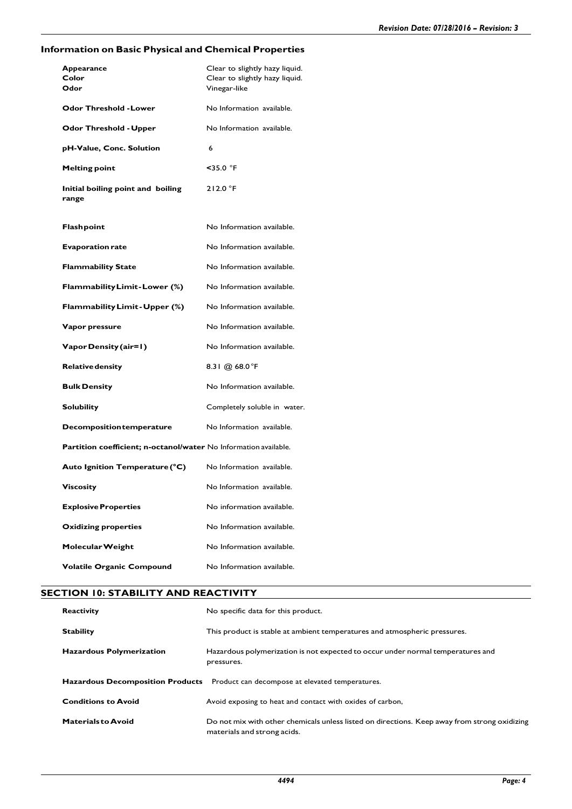# **Information on Basic Physical and Chemical Properties**

| Appearance<br>Color<br>Odor                                      | Clear to slightly hazy liquid.<br>Clear to slightly hazy liquid.<br>Vinegar-like |
|------------------------------------------------------------------|----------------------------------------------------------------------------------|
| <b>Odor Threshold - Lower</b>                                    | No Information available.                                                        |
| <b>Odor Threshold - Upper</b>                                    | No Information available.                                                        |
| pH-Value, Conc. Solution                                         | 6                                                                                |
| <b>Melting point</b>                                             | $<$ 35.0 °F                                                                      |
| Initial boiling point and boiling<br>range                       | 212.0 °F                                                                         |
| <b>Flashpoint</b>                                                | No Information available.                                                        |
| <b>Evaporation rate</b>                                          | No Information available.                                                        |
| <b>Flammability State</b>                                        | No Information available.                                                        |
| Flammability Limit-Lower (%)                                     | No Information available.                                                        |
| Flammability Limit - Upper (%)                                   | No Information available.                                                        |
| Vapor pressure                                                   | No Information available.                                                        |
| Vapor Density (air=1)                                            | No Information available.                                                        |
| <b>Relative density</b>                                          | 8.31 @ 68.0°F                                                                    |
| <b>Bulk Density</b>                                              | No Information available.                                                        |
| <b>Solubility</b>                                                | Completely soluble in water.                                                     |
| <b>Decomposition temperature</b>                                 | No Information available.                                                        |
| Partition coefficient; n-octanol/water No Information available. |                                                                                  |
| Auto Ignition Temperature (°C)                                   | No Information available.                                                        |
| <b>Viscosity</b>                                                 | No Information available.                                                        |
| <b>Explosive Properties</b>                                      | No information available.                                                        |
| <b>Oxidizing properties</b>                                      | No Information available.                                                        |
| Molecular Weight                                                 | No Information available.                                                        |
| <b>Volatile Organic Compound</b>                                 | No Information available.                                                        |

## **SECTION 10: STABILITY AND REACTIVITY**

| <b>Reactivity</b>               | No specific data for this product.                                                                                          |
|---------------------------------|-----------------------------------------------------------------------------------------------------------------------------|
| <b>Stability</b>                | This product is stable at ambient temperatures and atmospheric pressures.                                                   |
| <b>Hazardous Polymerization</b> | Hazardous polymerization is not expected to occur under normal temperatures and<br>pressures.                               |
|                                 | <b>Hazardous Decomposition Products</b> Product can decompose at elevated temperatures.                                     |
| <b>Conditions to Avoid</b>      | Avoid exposing to heat and contact with oxides of carbon,                                                                   |
| <b>Materials to Avoid</b>       | Do not mix with other chemicals unless listed on directions. Keep away from strong oxidizing<br>materials and strong acids. |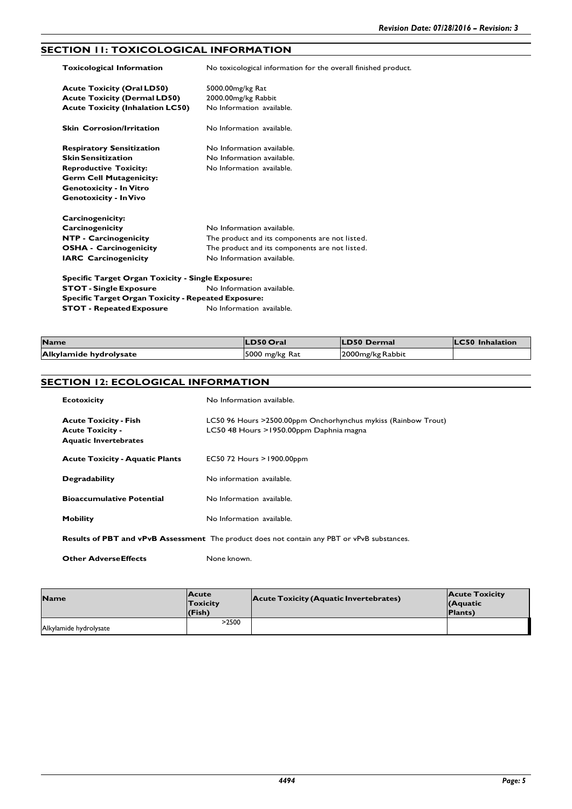# **SECTION 11: TOXICOLOGICAL INFORMATION**

| <b>Toxicological Information</b>                           | No toxicological information for the overall finished product. |
|------------------------------------------------------------|----------------------------------------------------------------|
| <b>Acute Toxicity (Oral LD50)</b>                          | 5000.00 mg/kg Rat                                              |
| <b>Acute Toxicity (Dermal LD50)</b>                        | 2000.00mg/kg Rabbit                                            |
| <b>Acute Toxicity (Inhalation LC50)</b>                    | No Information available.                                      |
| <b>Skin Corrosion/Irritation</b>                           | No Information available.                                      |
| <b>Respiratory Sensitization</b>                           | No Information available.                                      |
| <b>Skin Sensitization</b>                                  | No Information available.                                      |
| <b>Reproductive Toxicity:</b>                              | No Information available.                                      |
| <b>Germ Cell Mutagenicity:</b>                             |                                                                |
| <b>Genotoxicity - In Vitro</b>                             |                                                                |
| <b>Genotoxicity - In Vivo</b>                              |                                                                |
| Carcinogenicity:                                           |                                                                |
| Carcinogenicity                                            | No Information available.                                      |
| NTP - Carcinogenicity                                      | The product and its components are not listed.                 |
| <b>OSHA - Carcinogenicity</b>                              | The product and its components are not listed.                 |
| <b>IARC</b> Carcinogenicity                                | No Information available.                                      |
| Specific Target Organ Toxicity - Single Exposure:          |                                                                |
| <b>STOT - Single Exposure</b>                              | No Information available.                                      |
| <b>Specific Target Organ Toxicity - Repeated Exposure:</b> |                                                                |

| <b>Name</b>            | <b>LD50 Oral</b> | <b>LD50 Dermal</b> | <b>LC50</b> Inhalation |
|------------------------|------------------|--------------------|------------------------|
| Alkylamide hydrolysate | 5000 mg/kg Rat   | 2000 mg/kg Rabbit  |                        |

## **SECTION 12: ECOLOGICAL INFORMATION**

**STOT - Repeated Exposure** No Information available.

| <b>Ecotoxicity</b>                                                                                 | No Information available.                                                                                  |  |
|----------------------------------------------------------------------------------------------------|------------------------------------------------------------------------------------------------------------|--|
| <b>Acute Toxicity - Fish</b><br><b>Acute Toxicity -</b><br><b>Aquatic Invertebrates</b>            | LC50 96 Hours > 2500.00ppm Onchorhynchus mykiss (Rainbow Trout)<br>LC50 48 Hours >1950.00ppm Daphnia magna |  |
| <b>Acute Toxicity - Aquatic Plants</b>                                                             | EC50 72 Hours $>1900.00$ ppm                                                                               |  |
| <b>Degradability</b>                                                                               | No information available.                                                                                  |  |
| <b>Bioaccumulative Potential</b>                                                                   | No Information available.                                                                                  |  |
| Mobility                                                                                           | No Information available.                                                                                  |  |
| <b>Results of PBT and vPvB Assessment</b> The product does not contain any PBT or vPvB substances. |                                                                                                            |  |

**Other AdverseEffects** None known.

| <b>Name</b>            | <b>Acute</b><br>Toxicity<br>(Fish) | <b>Acute Toxicity (Aquatic Invertebrates)</b> | <b>Acute Toxicity</b><br>(Aquatic<br><b>Plants</b> ) |
|------------------------|------------------------------------|-----------------------------------------------|------------------------------------------------------|
| Alkylamide hydrolysate | >2500                              |                                               |                                                      |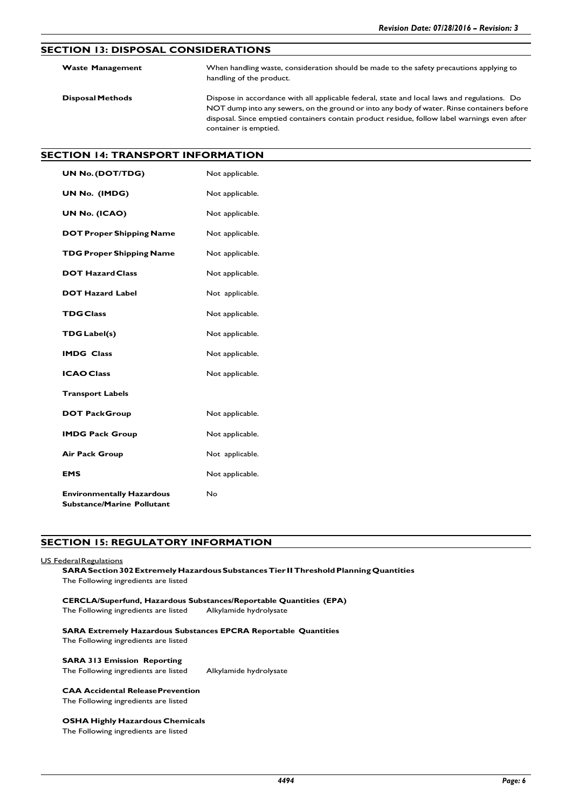## **SECTION 13: DISPOSAL CONSIDERATIONS**

| <b>Waste Management</b> | When handling waste, consideration should be made to the safety precautions applying to<br>handling of the product.                                                                                                                                                                                                |
|-------------------------|--------------------------------------------------------------------------------------------------------------------------------------------------------------------------------------------------------------------------------------------------------------------------------------------------------------------|
| <b>Disposal Methods</b> | Dispose in accordance with all applicable federal, state and local laws and regulations. Do<br>NOT dump into any sewers, on the ground or into any body of water. Rinse containers before<br>disposal. Since emptied containers contain product residue, follow label warnings even after<br>container is emptied. |

# **SECTION 14: TRANSPORT INFORMATION**

| <b>UN No. (DOT/TDG)</b>                                               | Not applicable. |
|-----------------------------------------------------------------------|-----------------|
| UN No. (IMDG)                                                         | Not applicable. |
| UN No. (ICAO)                                                         | Not applicable. |
| <b>DOT Proper Shipping Name</b>                                       | Not applicable. |
| <b>TDG Proper Shipping Name</b>                                       | Not applicable. |
| <b>DOT Hazard Class</b>                                               | Not applicable. |
| <b>DOT Hazard Label</b>                                               | Not applicable. |
| <b>TDG Class</b>                                                      | Not applicable. |
| <b>TDG Label(s)</b>                                                   | Not applicable. |
| <b>IMDG Class</b>                                                     | Not applicable. |
| <b>ICAO Class</b>                                                     | Not applicable. |
| <b>Transport Labels</b>                                               |                 |
| <b>DOT PackGroup</b>                                                  | Not applicable. |
| <b>IMDG Pack Group</b>                                                | Not applicable. |
| <b>Air Pack Group</b>                                                 | Not applicable. |
| <b>EMS</b>                                                            | Not applicable. |
| <b>Environmentally Hazardous</b><br><b>Substance/Marine Pollutant</b> | No              |

### **SECTION 15: REGULATORY INFORMATION**

### US Federal Regulations

**SARASection302Extremely HazardousSubstances Tier IIThresholdPlanningQuantities** The Following ingredients are listed

#### **CERCLA/Superfund, Hazardous Substances/Reportable Quantities (EPA)** The Following ingredients are listed Alkylamide hydrolysate

#### **SARA Extremely Hazardous Substances EPCRA Reportable Quantities** The Following ingredients are listed

## **SARA 313 Emission Reporting**

The Following ingredients are listed Alkylamide hydrolysate

# **CAA Accidental ReleasePrevention**

The Following ingredients are listed

#### **OSHA Highly Hazardous Chemicals**

The Following ingredients are listed